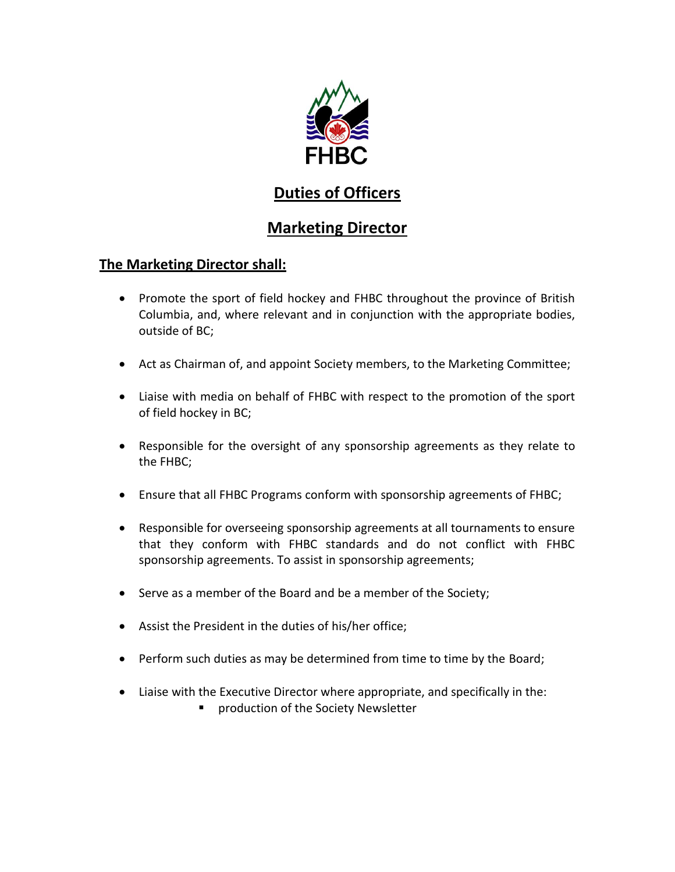

# **Duties of Officers**

# **Marketing Director**

### **The Marketing Director shall:**

- Promote the sport of field hockey and FHBC throughout the province of British Columbia, and, where relevant and in conjunction with the appropriate bodies, outside of BC;
- Act as Chairman of, and appoint Society members, to the Marketing Committee;
- Liaise with media on behalf of FHBC with respect to the promotion of the sport of field hockey in BC;
- Responsible for the oversight of any sponsorship agreements as they relate to the FHBC;
- Ensure that all FHBC Programs conform with sponsorship agreements of FHBC;
- Responsible for overseeing sponsorship agreements at all tournaments to ensure that they conform with FHBC standards and do not conflict with FHBC sponsorship agreements. To assist in sponsorship agreements;
- Serve as a member of the Board and be a member of the Society;
- Assist the President in the duties of his/her office;
- Perform such duties as may be determined from time to time by the Board;
- Liaise with the Executive Director where appropriate, and specifically in the:
	- **P** production of the Society Newsletter